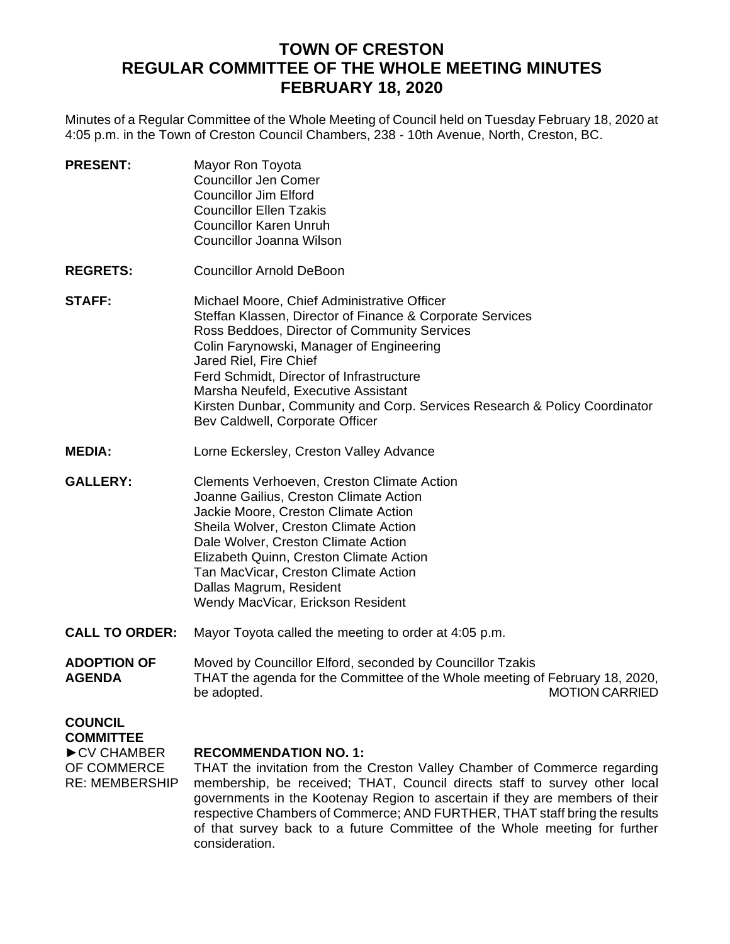## **TOWN OF CRESTON REGULAR COMMITTEE OF THE WHOLE MEETING MINUTES FEBRUARY 18, 2020**

Minutes of a Regular Committee of the Whole Meeting of Council held on Tuesday February 18, 2020 at 4:05 p.m. in the Town of Creston Council Chambers, 238 - 10th Avenue, North, Creston, BC.

| Mayor Ron Toyota               |
|--------------------------------|
| <b>Councillor Jen Comer</b>    |
| Councillor Jim Elford          |
| <b>Councillor Ellen Tzakis</b> |
| <b>Councillor Karen Unruh</b>  |
| Councillor Joanna Wilson       |
|                                |

- **REGRETS:** Councillor Arnold DeBoon
- **STAFF:** Michael Moore, Chief Administrative Officer Steffan Klassen, Director of Finance & Corporate Services Ross Beddoes, Director of Community Services Colin Farynowski, Manager of Engineering Jared Riel, Fire Chief Ferd Schmidt, Director of Infrastructure Marsha Neufeld, Executive Assistant Kirsten Dunbar, Community and Corp. Services Research & Policy Coordinator Bev Caldwell, Corporate Officer
- **MEDIA:** Lorne Eckersley, Creston Valley Advance
- **GALLERY:** Clements Verhoeven, Creston Climate Action Joanne Gailius, Creston Climate Action Jackie Moore, Creston Climate Action Sheila Wolver, Creston Climate Action Dale Wolver, Creston Climate Action Elizabeth Quinn, Creston Climate Action Tan MacVicar, Creston Climate Action Dallas Magrum, Resident Wendy MacVicar, Erickson Resident
- **CALL TO ORDER:** Mayor Toyota called the meeting to order at 4:05 p.m.
- **ADOPTION OF AGENDA** Moved by Councillor Elford, seconded by Councillor Tzakis THAT the agenda for the Committee of the Whole meeting of February 18, 2020, be adopted. MOTION CARRIED

# **COUNCIL**

**COMMITTEE** ►CV CHAMBER

### **RECOMMENDATION NO. 1:**

OF COMMERCE RE: MEMBERSHIP THAT the invitation from the Creston Valley Chamber of Commerce regarding membership, be received; THAT, Council directs staff to survey other local governments in the Kootenay Region to ascertain if they are members of their respective Chambers of Commerce; AND FURTHER, THAT staff bring the results of that survey back to a future Committee of the Whole meeting for further consideration.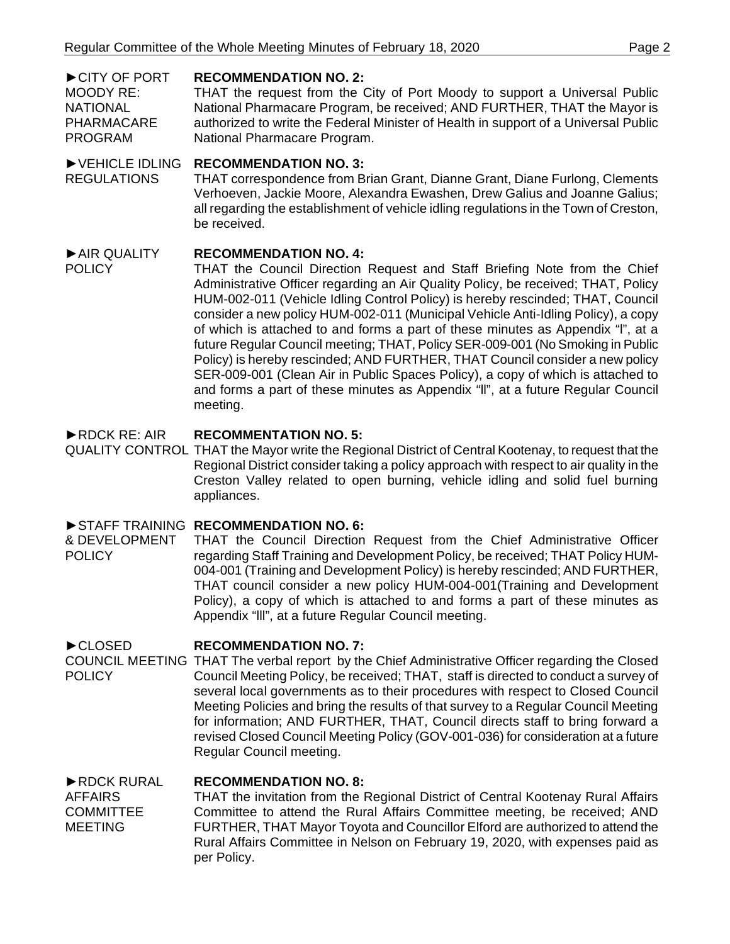#### ►CITY OF PORT **RECOMMENDATION NO. 2:**

MOODY RE: NATIONAL PHARMACARE PROGRAM THAT the request from the City of Port Moody to support a Universal Public National Pharmacare Program, be received; AND FURTHER, THAT the Mayor is authorized to write the Federal Minister of Health in support of a Universal Public National Pharmacare Program.

#### ►VEHICLE IDLING **RECOMMENDATION NO. 3:**

REGULATIONS THAT correspondence from Brian Grant, Dianne Grant, Diane Furlong, Clements Verhoeven, Jackie Moore, Alexandra Ewashen, Drew Galius and Joanne Galius; all regarding the establishment of vehicle idling regulations in the Town of Creston, be received.

#### ►AIR QUALITY **RECOMMENDATION NO. 4:**

POLICY

THAT the Council Direction Request and Staff Briefing Note from the Chief Administrative Officer regarding an Air Quality Policy, be received; THAT, Policy HUM-002-011 (Vehicle Idling Control Policy) is hereby rescinded; THAT, Council consider a new policy HUM-002-011 (Municipal Vehicle Anti-Idling Policy), a copy of which is attached to and forms a part of these minutes as Appendix "l", at a future Regular Council meeting; THAT, Policy SER-009-001 (No Smoking in Public Policy) is hereby rescinded; AND FURTHER, THAT Council consider a new policy SER-009-001 (Clean Air in Public Spaces Policy), a copy of which is attached to and forms a part of these minutes as Appendix "ll", at a future Regular Council meeting.

#### ►RDCK RE: AIR **RECOMMENTATION NO. 5:**

QUALITY CONTROL THAT the Mayor write the Regional District of Central Kootenay, to request that the Regional District consider taking a policy approach with respect to air quality in the Creston Valley related to open burning, vehicle idling and solid fuel burning appliances.

### ►STAFF TRAINING **RECOMMENDATION NO. 6:**

& DEVELOPMENT POLICY THAT the Council Direction Request from the Chief Administrative Officer regarding Staff Training and Development Policy, be received; THAT Policy HUM-004-001 (Training and Development Policy) is hereby rescinded; AND FURTHER, THAT council consider a new policy HUM-004-001(Training and Development Policy), a copy of which is attached to and forms a part of these minutes as Appendix "lll", at a future Regular Council meeting.

#### ►CLOSED **RECOMMENDATION NO. 7:**

COUNCIL MEETING THAT The verbal report by the Chief Administrative Officer regarding the Closed **POLICY** Council Meeting Policy, be received; THAT, staff is directed to conduct a survey of several local governments as to their procedures with respect to Closed Council Meeting Policies and bring the results of that survey to a Regular Council Meeting for information; AND FURTHER, THAT, Council directs staff to bring forward a revised Closed Council Meeting Policy (GOV-001-036) for consideration at a future Regular Council meeting.

#### ►RDCK RURAL **RECOMMENDATION NO. 8:**

AFFAIRS **COMMITTEE** MEETING THAT the invitation from the Regional District of Central Kootenay Rural Affairs Committee to attend the Rural Affairs Committee meeting, be received; AND FURTHER, THAT Mayor Toyota and Councillor Elford are authorized to attend the Rural Affairs Committee in Nelson on February 19, 2020, with expenses paid as per Policy.